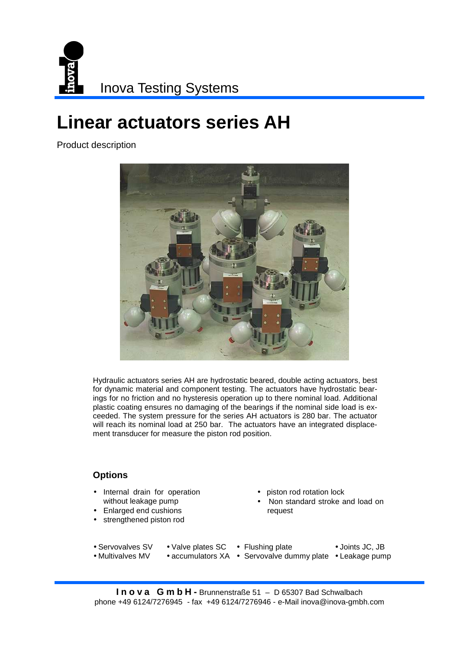

## **Linear actuators series AH**

Product description



Hydraulic actuators series AH are hydrostatic beared, double acting actuators, best for dynamic material and component testing. The actuators have hydrostatic bearings for no friction and no hysteresis operation up to there nominal load. Additional plastic coating ensures no damaging of the bearings if the nominal side load is exceeded. The system pressure for the series AH actuators is 280 bar. The actuator will reach its nominal load at 250 bar. The actuators have an integrated displacement transducer for measure the piston rod position.

## **Options**

- Internal drain for operation without leakage pump
- Enlarged end cushions
- **Accessories** strengthened piston rod
- piston rod rotation lock
- Non standard stroke and load on request

• Servovalves SV

• Multivalves MV

- Valve plates SC Flushing plate
- Joints JC, JB
- accumulators XA Servovalve dummy plate Leakage pump